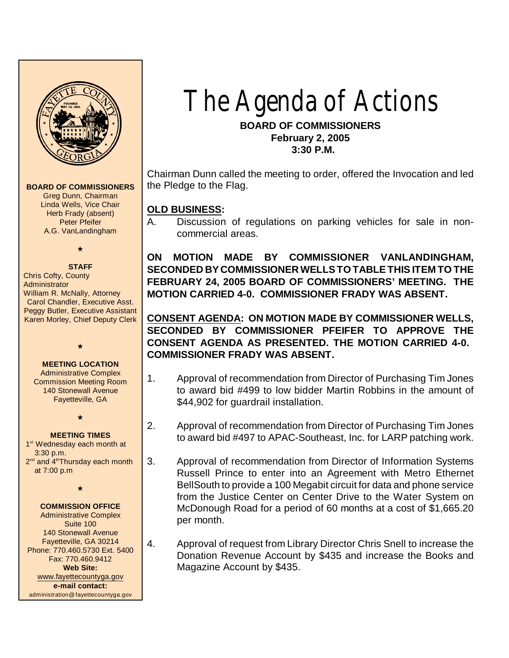

#### **BOARD OF COMMISSIONERS**

Greg Dunn, Chairman Linda Wells, Vice Chair Herb Frady (absent) Peter Pfeifer A.G. VanLandingham

## $\star$

**STAFF** Chris Cofty, County **Administrator** William R. McNally, Attorney Carol Chandler, Executive Asst. Peggy Butler, Executive Assistant Karen Morley, Chief Deputy Clerk

# $\star$

**MEETING LOCATION** Administrative Complex Commission Meeting Room 140 Stonewall Avenue Fayetteville, GA

#### **MEETING TIMES**

 $\color{red} \star$ 

1<sup>st</sup> Wednesday each month at 3:30 p.m. 2<sup>nd</sup> and 4<sup>th</sup>Thursday each month at 7:00 p.m

 $\star$ 

#### **COMMISSION OFFICE**

Administrative Complex Suite 100 140 Stonewall Avenue Fayetteville, GA 30214 Phone: 770.460.5730 Ext. 5400 Fax: 770.460.9412 **Web Site:** [www.fayettecountyga.gov](http://www.admin.co.fayette.ga.us) **e-mail contact:** administration@fayettecountyga.gov

# The Agenda of Actions

#### **BOARD OF COMMISSIONERS February 2, 2005 3:30 P.M.**

Chairman Dunn called the meeting to order, offered the Invocation and led the Pledge to the Flag.

#### **OLD BUSINESS:**

A. Discussion of regulations on parking vehicles for sale in noncommercial areas.

**ON MOTION MADE BY COMMISSIONER VANLANDINGHAM, SECONDED BY COMMISSIONERWELLS TO TABLE THIS ITEM TO THE FEBRUARY 24, 2005 BOARD OF COMMISSIONERS' MEETING. THE MOTION CARRIED 4-0. COMMISSIONER FRADY WAS ABSENT.**

**CONSENT AGENDA: ON MOTION MADE BY COMMISSIONER WELLS, SECONDED BY COMMISSIONER PFEIFER TO APPROVE THE CONSENT AGENDA AS PRESENTED. THE MOTION CARRIED 4-0. COMMISSIONER FRADY WAS ABSENT.**

- 1. Approval of recommendation from Director of Purchasing Tim Jones to award bid #499 to low bidder Martin Robbins in the amount of \$44,902 for quardrail installation.
- 2. Approval of recommendation from Director of Purchasing Tim Jones to award bid #497 to APAC-Southeast, Inc. for LARP patching work.
- 3. Approval of recommendation from Director of Information Systems Russell Prince to enter into an Agreement with Metro Ethernet BellSouth to provide a 100 Megabit circuit for data and phone service from the Justice Center on Center Drive to the Water System on McDonough Road for a period of 60 months at a cost of \$1,665.20 per month.
- 4. Approval of request from Library Director Chris Snell to increase the Donation Revenue Account by \$435 and increase the Books and Magazine Account by \$435.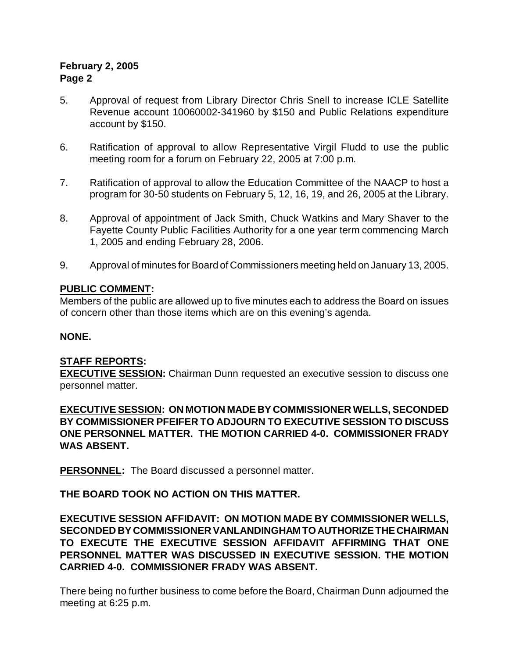## **February 2, 2005 Page 2**

- 5. Approval of request from Library Director Chris Snell to increase ICLE Satellite Revenue account 10060002-341960 by \$150 and Public Relations expenditure account by \$150.
- 6. Ratification of approval to allow Representative Virgil Fludd to use the public meeting room for a forum on February 22, 2005 at 7:00 p.m.
- 7. Ratification of approval to allow the Education Committee of the NAACP to host a program for 30-50 students on February 5, 12, 16, 19, and 26, 2005 at the Library.
- 8. Approval of appointment of Jack Smith, Chuck Watkins and Mary Shaver to the Fayette County Public Facilities Authority for a one year term commencing March 1, 2005 and ending February 28, 2006.
- 9. Approval of minutes for Board of Commissioners meeting held on January 13, 2005.

#### **PUBLIC COMMENT:**

Members of the public are allowed up to five minutes each to address the Board on issues of concern other than those items which are on this evening's agenda.

#### **NONE.**

## **STAFF REPORTS:**

**EXECUTIVE SESSION:** Chairman Dunn requested an executive session to discuss one personnel matter.

**EXECUTIVE SESSION: ON MOTION MADE BY COMMISSIONER WELLS, SECONDED BY COMMISSIONER PFEIFER TO ADJOURN TO EXECUTIVE SESSION TO DISCUSS ONE PERSONNEL MATTER. THE MOTION CARRIED 4-0. COMMISSIONER FRADY WAS ABSENT.** 

**PERSONNEL:** The Board discussed a personnel matter.

## **THE BOARD TOOK NO ACTION ON THIS MATTER.**

**EXECUTIVE SESSION AFFIDAVIT: ON MOTION MADE BY COMMISSIONER WELLS, SECONDED BY COMMISSIONER VANLANDINGHAM TO AUTHORIZE THE CHAIRMAN TO EXECUTE THE EXECUTIVE SESSION AFFIDAVIT AFFIRMING THAT ONE PERSONNEL MATTER WAS DISCUSSED IN EXECUTIVE SESSION. THE MOTION CARRIED 4-0. COMMISSIONER FRADY WAS ABSENT.** 

There being no further business to come before the Board, Chairman Dunn adjourned the meeting at 6:25 p.m.